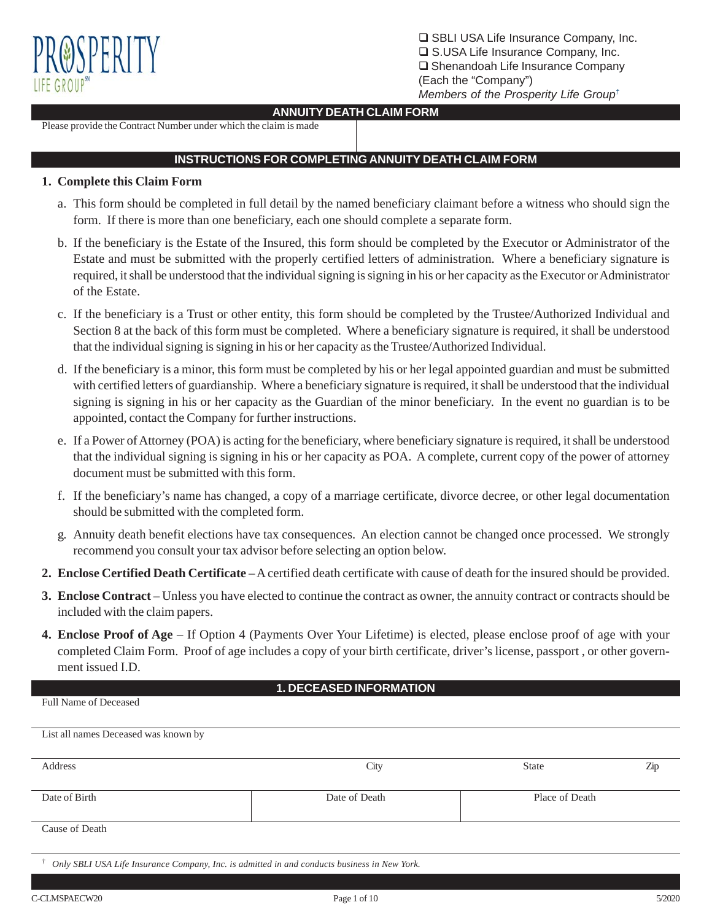

□ SBLI USA Life Insurance Company, Inc. □ S.USA Life Insurance Company, Inc.  $\square$  Shenandoah Life Insurance Company (Each the "Company") *Members of the Prosperity Life Group†*

## **ANNUITY DEATH CLAIM FORM**

Please provide the Contract Number under which the claim is made

# **INSTRUCTIONS FOR COMPLETING ANNUITY DEATH CLAIM FORM**

## **1. Complete this Claim Form**

- a. This form should be completed in full detail by the named beneficiary claimant before a witness who should sign the form. If there is more than one beneficiary, each one should complete a separate form.
- b. If the beneficiary is the Estate of the Insured, this form should be completed by the Executor or Administrator of the Estate and must be submitted with the properly certified letters of administration. Where a beneficiary signature is required, it shall be understood that the individual signing is signing in his or her capacity as the Executor or Administrator of the Estate.
- c. If the beneficiary is a Trust or other entity, this form should be completed by the Trustee/Authorized Individual and Section 8 at the back of this form must be completed. Where a beneficiary signature is required, it shall be understood that the individual signing is signing in his or her capacity as the Trustee/Authorized Individual.
- d. If the beneficiary is a minor, this form must be completed by his or her legal appointed guardian and must be submitted with certified letters of guardianship. Where a beneficiary signature is required, it shall be understood that the individual signing is signing in his or her capacity as the Guardian of the minor beneficiary. In the event no guardian is to be appointed, contact the Company for further instructions.
- e. If a Power of Attorney (POA) is acting for the beneficiary, where beneficiary signature is required, it shall be understood that the individual signing is signing in his or her capacity as POA. A complete, current copy of the power of attorney document must be submitted with this form.
- f. If the beneficiary's name has changed, a copy of a marriage certificate, divorce decree, or other legal documentation should be submitted with the completed form.
- g. Annuity death benefit elections have tax consequences. An election cannot be changed once processed. We strongly recommend you consult your tax advisor before selecting an option below.
- **2. Enclose Certified Death Certificate** A certified death certificate with cause of death for the insured should be provided.
- **3. Enclose Contract** Unless you have elected to continue the contract as owner, the annuity contract or contracts should be included with the claim papers.
- **4. Enclose Proof of Age** If Option 4 (Payments Over Your Lifetime) is elected, please enclose proof of age with your completed Claim Form. Proof of age includes a copy of your birth certificate, driver's license, passport , or other government issued I.D.

## **1. DECEASED INFORMATION**

### Full Name of Deceased

| List all names Deceased was known by |               |                |     |
|--------------------------------------|---------------|----------------|-----|
| Address                              | City          | <b>State</b>   | Zip |
| Date of Birth                        | Date of Death | Place of Death |     |
| Cause of Death                       |               |                |     |

*† Only SBLI USA Life Insurance Company, Inc. is admitted in and conducts business in New York.*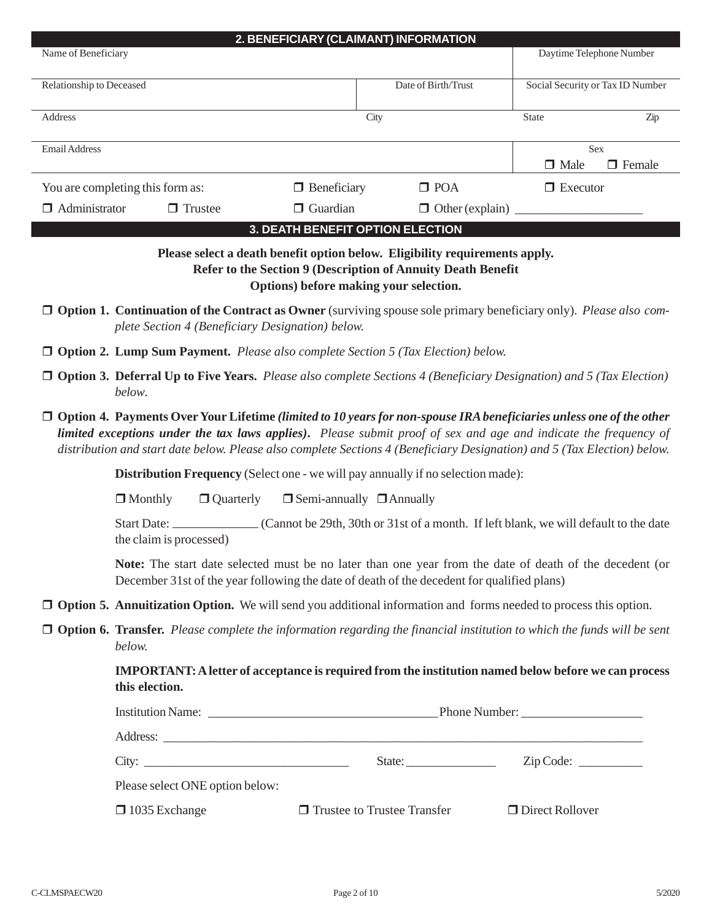| Name of Beneficiary      |                                                                                                                         | 2. BENEFICIARY (CLAIMANT) INFORMATION  |                                                                                                                                             |                                                                                                                                                                                                                                              |
|--------------------------|-------------------------------------------------------------------------------------------------------------------------|----------------------------------------|---------------------------------------------------------------------------------------------------------------------------------------------|----------------------------------------------------------------------------------------------------------------------------------------------------------------------------------------------------------------------------------------------|
|                          |                                                                                                                         |                                        |                                                                                                                                             | Daytime Telephone Number                                                                                                                                                                                                                     |
| Relationship to Deceased |                                                                                                                         |                                        | Date of Birth/Trust                                                                                                                         | Social Security or Tax ID Number                                                                                                                                                                                                             |
| Address                  |                                                                                                                         | City                                   |                                                                                                                                             | State<br>Zip                                                                                                                                                                                                                                 |
| Email Address            |                                                                                                                         |                                        |                                                                                                                                             | Sex                                                                                                                                                                                                                                          |
|                          | You are completing this form as:                                                                                        | $\Box$ Beneficiary                     | $\Box$ POA                                                                                                                                  | $\Box$ Male<br>$\Box$ Female<br>$\Box$ Executor                                                                                                                                                                                              |
| $\Box$ Administrator     | $\Box$ Trustee                                                                                                          | $\Box$ Guardian                        | $\Box$ Other (explain)                                                                                                                      |                                                                                                                                                                                                                                              |
|                          |                                                                                                                         | 3. DEATH BENEFIT OPTION ELECTION       |                                                                                                                                             |                                                                                                                                                                                                                                              |
|                          |                                                                                                                         | Options) before making your selection. | Please select a death benefit option below. Eligibility requirements apply.<br>Refer to the Section 9 (Description of Annuity Death Benefit | $\Box$ Option 1. Continuation of the Contract as Owner (surviving spouse sole primary beneficiary only). Please also com-                                                                                                                    |
|                          | plete Section 4 (Beneficiary Designation) below.                                                                        |                                        |                                                                                                                                             |                                                                                                                                                                                                                                              |
|                          | $\Box$ Option 2. Lump Sum Payment. Please also complete Section 5 (Tax Election) below.                                 |                                        |                                                                                                                                             |                                                                                                                                                                                                                                              |
|                          | below.                                                                                                                  |                                        |                                                                                                                                             | $\Box$ Option 3. Deferral Up to Five Years. Please also complete Sections 4 (Beneficiary Designation) and 5 (Tax Election)                                                                                                                   |
|                          |                                                                                                                         |                                        |                                                                                                                                             | $\Box$ Option 4. Payments Over Your Lifetime (limited to 10 years for non-spouse IRA beneficiaries unless one of the other                                                                                                                   |
|                          |                                                                                                                         |                                        |                                                                                                                                             | limited exceptions under the tax laws applies). Please submit proof of sex and age and indicate the frequency of<br>distribution and start date below. Please also complete Sections 4 (Beneficiary Designation) and 5 (Tax Election) below. |
|                          | <b>Distribution Frequency</b> (Select one - we will pay annually if no selection made):                                 |                                        |                                                                                                                                             |                                                                                                                                                                                                                                              |
|                          | $\Box$ Monthly<br>$\Box$ Quarterly                                                                                      | $\Box$ Semi-annually $\Box$ Annually   |                                                                                                                                             |                                                                                                                                                                                                                                              |
|                          | the claim is processed)                                                                                                 |                                        |                                                                                                                                             | Start Date: Cannot be 29th, 30th or 31st of a month. If left blank, we will default to the date                                                                                                                                              |
|                          | December 31st of the year following the date of death of the decedent for qualified plans)                              |                                        |                                                                                                                                             | Note: The start date selected must be no later than one year from the date of death of the decedent (or                                                                                                                                      |
|                          | <b>Option 5. Annuitization Option.</b> We will send you additional information and forms needed to process this option. |                                        |                                                                                                                                             |                                                                                                                                                                                                                                              |
|                          | below.                                                                                                                  |                                        |                                                                                                                                             | $\Box$ Option 6. Transfer. Please complete the information regarding the financial institution to which the funds will be sent                                                                                                               |
|                          | this election.                                                                                                          |                                        |                                                                                                                                             | <b>IMPORTANT:</b> A letter of acceptance is required from the institution named below before we can process                                                                                                                                  |
|                          |                                                                                                                         |                                        |                                                                                                                                             |                                                                                                                                                                                                                                              |
|                          |                                                                                                                         |                                        |                                                                                                                                             |                                                                                                                                                                                                                                              |
|                          |                                                                                                                         |                                        |                                                                                                                                             |                                                                                                                                                                                                                                              |
|                          | Please select ONE option below:                                                                                         |                                        |                                                                                                                                             |                                                                                                                                                                                                                                              |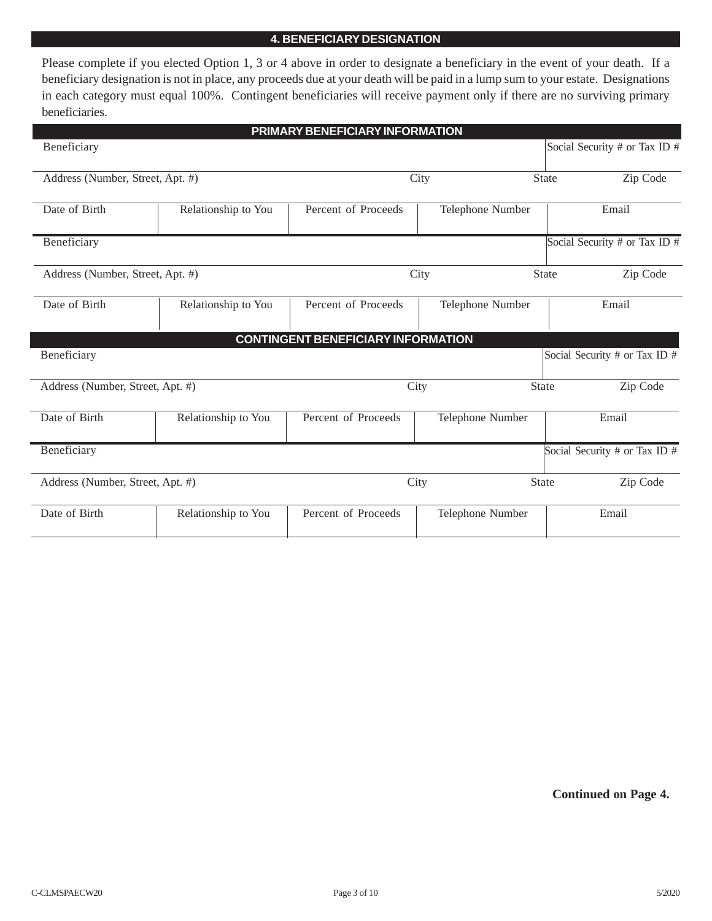## **4. BENEFICIARY DESIGNATION**

Please complete if you elected Option 1, 3 or 4 above in order to designate a beneficiary in the event of your death. If a beneficiary designation is not in place, any proceeds due at your death will be paid in a lump sum to your estate. Designations in each category must equal 100%. Contingent beneficiaries will receive payment only if there are no surviving primary beneficiaries.

|                                  |                     | PRIMARY BENEFICIARY INFORMATION           |                  |                                 |
|----------------------------------|---------------------|-------------------------------------------|------------------|---------------------------------|
| Beneficiary                      |                     |                                           |                  | Social Security # or Tax ID #   |
| Address (Number, Street, Apt. #) |                     |                                           | City             | <b>State</b><br>Zip Code        |
| Date of Birth                    | Relationship to You | Percent of Proceeds                       | Telephone Number | Email                           |
| Beneficiary                      |                     |                                           |                  | Social Security # or Tax ID #   |
| Address (Number, Street, Apt. #) |                     |                                           | City             | <b>State</b><br>Zip Code        |
| Date of Birth                    | Relationship to You | Percent of Proceeds                       | Telephone Number | Email                           |
|                                  |                     | <b>CONTINGENT BENEFICIARY INFORMATION</b> |                  |                                 |
| Beneficiary                      |                     |                                           |                  | Social Security # or Tax ID #   |
| Address (Number, Street, Apt. #) |                     |                                           | City             | Zip Code<br>State               |
| Date of Birth                    | Relationship to You | Percent of Proceeds                       | Telephone Number | Email                           |
| Beneficiary                      |                     |                                           |                  | Social Security # or Tax ID $#$ |
| Address (Number, Street, Apt. #) |                     |                                           | City             | Zip Code<br><b>State</b>        |
| Date of Birth                    | Relationship to You | Percent of Proceeds                       | Telephone Number | Email                           |

**Continued on Page 4.**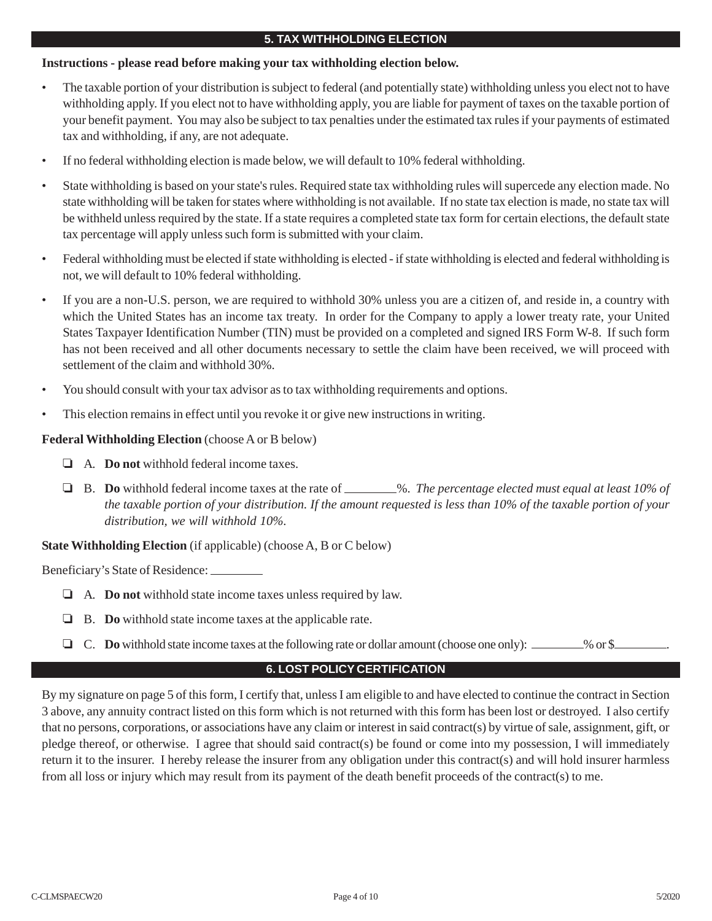## **5. TAX WITHHOLDING ELECTION**

## **Instructions - please read before making your tax withholding election below.**

- The taxable portion of your distribution is subject to federal (and potentially state) withholding unless you elect not to have withholding apply. If you elect not to have withholding apply, you are liable for payment of taxes on the taxable portion of your benefit payment. You may also be subject to tax penalties under the estimated tax rules if your payments of estimated tax and withholding, if any, are not adequate.
- If no federal withholding election is made below, we will default to 10% federal withholding.
- State withholding is based on your state's rules. Required state tax withholding rules will supercede any election made. No state withholding will be taken for states where withholding is not available. If no state tax election is made, no state tax will be withheld unless required by the state. If a state requires a completed state tax form for certain elections, the default state tax percentage will apply unless such form is submitted with your claim.
- Federal withholding must be elected if state withholding is elected if state withholding is elected and federal withholding is not, we will default to 10% federal withholding.
- If you are a non-U.S. person, we are required to withhold 30% unless you are a citizen of, and reside in, a country with which the United States has an income tax treaty. In order for the Company to apply a lower treaty rate, your United States Taxpayer Identification Number (TIN) must be provided on a completed and signed IRS Form W-8. If such form has not been received and all other documents necessary to settle the claim have been received, we will proceed with settlement of the claim and withhold 30%.
- You should consult with your tax advisor as to tax withholding requirements and options.
- This election remains in effect until you revoke it or give new instructions in writing.

## **Federal Withholding Election** (choose A or B below)

- A. **Do not** withhold federal income taxes.
- □ B. **Do** withhold federal income taxes at the rate of \_\_\_\_\_\_\_%. *The percentage elected must equal at least 10% of the taxable portion of your distribution. If the amount requested is less than 10% of the taxable portion of your distribution, we will withhold 10%.*

## **State Withholding Election** (if applicable) (choose A, B or C below)

Beneficiary's State of Residence:

- A. **Do not** withhold state income taxes unless required by law.
- B. **Do** withhold state income taxes at the applicable rate.
- **C.** Do withhold state income taxes at the following rate or dollar amount (choose one only): \_\_\_\_\_\_\_\_% or \$

## **6. LOST POLICY CERTIFICATION**

By my signature on page 5 of this form, I certify that, unless I am eligible to and have elected to continue the contract in Section 3 above, any annuity contract listed on this form which is not returned with this form has been lost or destroyed. I also certify that no persons, corporations, or associations have any claim or interest in said contract(s) by virtue of sale, assignment, gift, or pledge thereof, or otherwise. I agree that should said contract(s) be found or come into my possession, I will immediately return it to the insurer. I hereby release the insurer from any obligation under this contract(s) and will hold insurer harmless from all loss or injury which may result from its payment of the death benefit proceeds of the contract(s) to me.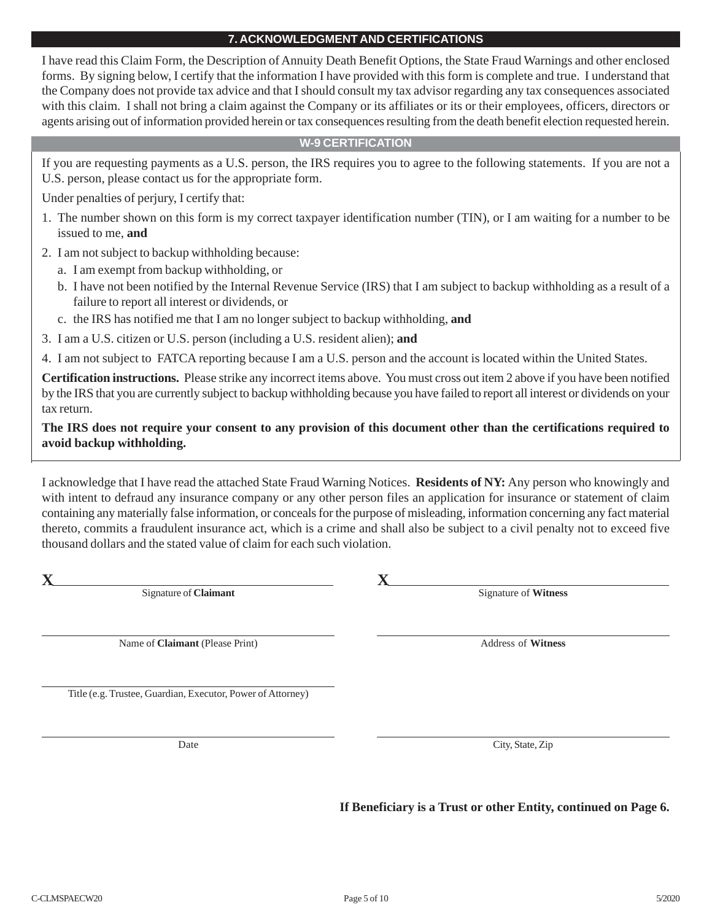## **7. ACKNOWLEDGMENT AND CERTIFICATIONS**

I have read this Claim Form, the Description of Annuity Death Benefit Options, the State Fraud Warnings and other enclosed forms. By signing below, I certify that the information I have provided with this form is complete and true. I understand that the Company does not provide tax advice and that I should consult my tax advisor regarding any tax consequences associated with this claim. I shall not bring a claim against the Company or its affiliates or its or their employees, officers, directors or agents arising out of information provided herein or tax consequences resulting from the death benefit election requested herein.

## **W-9 CERTIFICATION**

If you are requesting payments as a U.S. person, the IRS requires you to agree to the following statements. If you are not a U.S. person, please contact us for the appropriate form.

Under penalties of perjury, I certify that:

- 1. The number shown on this form is my correct taxpayer identification number (TIN), or I am waiting for a number to be issued to me, **and**
- 2. I am not subject to backup withholding because:
	- a. I am exempt from backup withholding, or
	- b. I have not been notified by the Internal Revenue Service (IRS) that I am subject to backup withholding as a result of a failure to report all interest or dividends, or
	- c. the IRS has notified me that I am no longer subject to backup withholding, **and**
- 3. I am a U.S. citizen or U.S. person (including a U.S. resident alien); **and**
- 4. I am not subject to FATCA reporting because I am a U.S. person and the account is located within the United States.

**Certification instructions.** Please strike any incorrect items above. You must cross out item 2 above if you have been notified by the IRS that you are currently subject to backup withholding because you have failed to report all interest or dividends on your tax return.

## **The IRS does not require your consent to any provision of this document other than the certifications required to avoid backup withholding.**

I acknowledge that I have read the attached State Fraud Warning Notices. **Residents of NY:** Any person who knowingly and with intent to defraud any insurance company or any other person files an application for insurance or statement of claim containing any materially false information, or conceals for the purpose of misleading, information concerning any fact material thereto, commits a fraudulent insurance act, which is a crime and shall also be subject to a civil penalty not to exceed five thousand dollars and the stated value of claim for each such violation.

**X X** Signature of **Claimant** Signature of **Witness**

Name of **Claimant** (Please Print) Address of **Witness** 

Date City, State, Zip

Title (e.g. Trustee, Guardian, Executor, Power of Attorney)

**If Beneficiary is a Trust or other Entity, continued on Page 6.**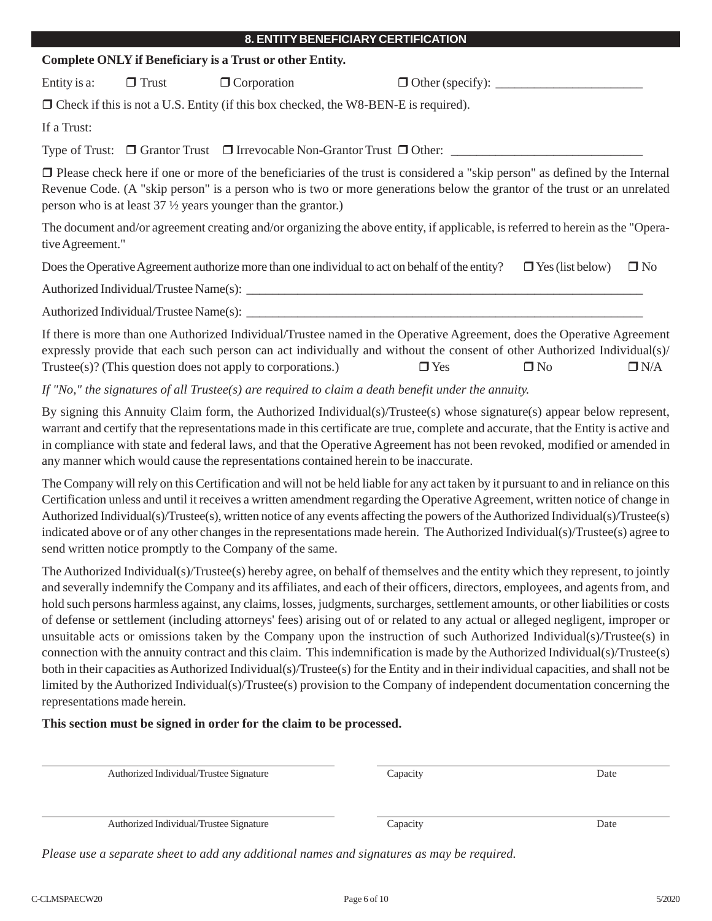|                  |              | 8. ENTITY BENEFICIARY CERTIFICATION                                                             |                                                                                                                                                                                                                                                                 |                         |              |
|------------------|--------------|-------------------------------------------------------------------------------------------------|-----------------------------------------------------------------------------------------------------------------------------------------------------------------------------------------------------------------------------------------------------------------|-------------------------|--------------|
|                  |              | <b>Complete ONLY if Beneficiary is a Trust or other Entity.</b>                                 |                                                                                                                                                                                                                                                                 |                         |              |
| Entity is a:     | $\Box$ Trust | $\Box$ Corporation                                                                              |                                                                                                                                                                                                                                                                 |                         |              |
|                  |              | $\Box$ Check if this is not a U.S. Entity (if this box checked, the W8-BEN-E is required).      |                                                                                                                                                                                                                                                                 |                         |              |
| If a Trust:      |              |                                                                                                 |                                                                                                                                                                                                                                                                 |                         |              |
|                  |              |                                                                                                 |                                                                                                                                                                                                                                                                 |                         |              |
|                  |              | person who is at least $37\frac{1}{2}$ years younger than the grantor.)                         | $\Box$ Please check here if one or more of the beneficiaries of the trust is considered a "skip person" as defined by the Internal<br>Revenue Code. (A "skip person" is a person who is two or more generations below the grantor of the trust or an unrelated  |                         |              |
| tive Agreement." |              |                                                                                                 | The document and/or agreement creating and/or organizing the above entity, if applicable, is referred to herein as the "Opera-                                                                                                                                  |                         |              |
|                  |              | Does the Operative Agreement authorize more than one individual to act on behalf of the entity? |                                                                                                                                                                                                                                                                 | $\Box$ Yes (list below) | $\square$ No |
|                  |              |                                                                                                 |                                                                                                                                                                                                                                                                 |                         |              |
|                  |              |                                                                                                 |                                                                                                                                                                                                                                                                 |                         |              |
|                  |              | $Trustee(s)$ ? (This question does not apply to corporations.)                                  | If there is more than one Authorized Individual/Trustee named in the Operative Agreement, does the Operative Agreement<br>expressly provide that each such person can act individually and without the consent of other Authorized Individual(s)/<br>$\Box$ Yes | $\Box$ No               | $\Box$ N/A   |
|                  |              |                                                                                                 | If "No," the signatures of all Trustee(s) are required to claim a death benefit under the annuity.                                                                                                                                                              |                         |              |
|                  |              |                                                                                                 | By signing this Annuity Claim form, the Authorized Individual(s)/Trustee(s) whose signature(s) appear below represent,                                                                                                                                          |                         |              |

warrant and certify that the representations made in this certificate are true, complete and accurate, that the Entity is active and in compliance with state and federal laws, and that the Operative Agreement has not been revoked, modified or amended in any manner which would cause the representations contained herein to be inaccurate.

The Company will rely on this Certification and will not be held liable for any act taken by it pursuant to and in reliance on this Certification unless and until it receives a written amendment regarding the Operative Agreement, written notice of change in Authorized Individual(s)/Trustee(s), written notice of any events affecting the powers of the Authorized Individual(s)/Trustee(s) indicated above or of any other changes in the representations made herein. The Authorized Individual(s)/Trustee(s) agree to send written notice promptly to the Company of the same.

The Authorized Individual(s)/Trustee(s) hereby agree, on behalf of themselves and the entity which they represent, to jointly and severally indemnify the Company and its affiliates, and each of their officers, directors, employees, and agents from, and hold such persons harmless against, any claims, losses, judgments, surcharges, settlement amounts, or other liabilities or costs of defense or settlement (including attorneys' fees) arising out of or related to any actual or alleged negligent, improper or unsuitable acts or omissions taken by the Company upon the instruction of such Authorized Individual(s)/Trustee(s) in connection with the annuity contract and this claim. This indemnification is made by the Authorized Individual(s)/Trustee(s) both in their capacities as Authorized Individual(s)/Trustee(s) for the Entity and in their individual capacities, and shall not be limited by the Authorized Individual(s)/Trustee(s) provision to the Company of independent documentation concerning the representations made herein.

## **This section must be signed in order for the claim to be processed.**

| Authorized Individual/Trustee Signature | Capacity | Date |
|-----------------------------------------|----------|------|
| Authorized Individual/Trustee Signature | Capacity | Date |

*Please use a separate sheet to add any additional names and signatures as may be required.*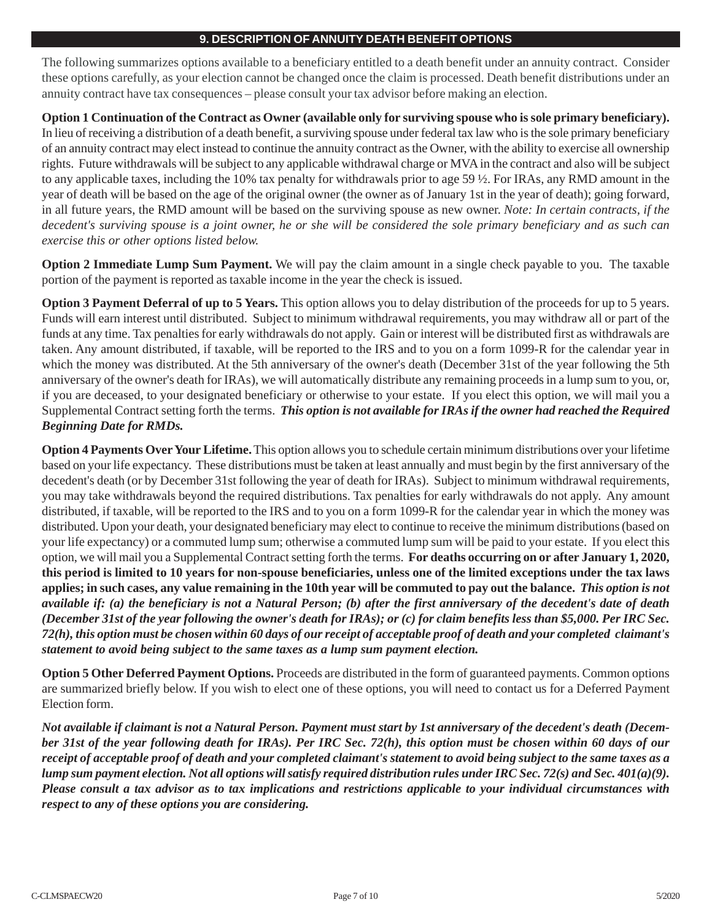## **9. DESCRIPTION OF ANNUITY DEATH BENEFIT OPTIONS**

The following summarizes options available to a beneficiary entitled to a death benefit under an annuity contract. Consider these options carefully, as your election cannot be changed once the claim is processed. Death benefit distributions under an annuity contract have tax consequences – please consult your tax advisor before making an election.

**Option 1 Continuation of the Contract as Owner (available only for surviving spouse who is sole primary beneficiary).** In lieu of receiving a distribution of a death benefit, a surviving spouse under federal tax law who is the sole primary beneficiary of an annuity contract may elect instead to continue the annuity contract as the Owner, with the ability to exercise all ownership rights. Future withdrawals will be subject to any applicable withdrawal charge or MVA in the contract and also will be subject to any applicable taxes, including the 10% tax penalty for withdrawals prior to age 59 ½. For IRAs, any RMD amount in the year of death will be based on the age of the original owner (the owner as of January 1st in the year of death); going forward, in all future years, the RMD amount will be based on the surviving spouse as new owner. *Note: In certain contracts, if the decedent's surviving spouse is a joint owner, he or she will be considered the sole primary beneficiary and as such can exercise this or other options listed below.*

**Option 2 Immediate Lump Sum Payment.** We will pay the claim amount in a single check payable to you. The taxable portion of the payment is reported as taxable income in the year the check is issued.

**Option 3 Payment Deferral of up to 5 Years.** This option allows you to delay distribution of the proceeds for up to 5 years. Funds will earn interest until distributed. Subject to minimum withdrawal requirements, you may withdraw all or part of the funds at any time. Tax penalties for early withdrawals do not apply. Gain or interest will be distributed first as withdrawals are taken. Any amount distributed, if taxable, will be reported to the IRS and to you on a form 1099-R for the calendar year in which the money was distributed. At the 5th anniversary of the owner's death (December 31st of the year following the 5th anniversary of the owner's death for IRAs), we will automatically distribute any remaining proceeds in a lump sum to you, or, if you are deceased, to your designated beneficiary or otherwise to your estate. If you elect this option, we will mail you a Supplemental Contract setting forth the terms. *This option is not available for IRAs if the owner had reached the Required Beginning Date for RMDs.*

**Option 4 Payments Over Your Lifetime.** This option allows you to schedule certain minimum distributions over your lifetime based on your life expectancy. These distributions must be taken at least annually and must begin by the first anniversary of the decedent's death (or by December 31st following the year of death for IRAs). Subject to minimum withdrawal requirements, you may take withdrawals beyond the required distributions. Tax penalties for early withdrawals do not apply. Any amount distributed, if taxable, will be reported to the IRS and to you on a form 1099-R for the calendar year in which the money was distributed. Upon your death, your designated beneficiary may elect to continue to receive the minimum distributions (based on your life expectancy) or a commuted lump sum; otherwise a commuted lump sum will be paid to your estate. If you elect this option, we will mail you a Supplemental Contract setting forth the terms. **For deaths occurring on or after January 1, 2020, this period is limited to 10 years for non-spouse beneficiaries, unless one of the limited exceptions under the tax laws applies; in such cases, any value remaining in the 10th year will be commuted to pay out the balance.** *This option is not available if: (a) the beneficiary is not a Natural Person; (b) after the first anniversary of the decedent's date of death (December 31st of the year following the owner's death for IRAs); or (c) for claim benefits less than \$5,000. Per IRC Sec. 72(h), this option must be chosen within 60 days of our receipt of acceptable proof of death and your completed claimant's statement to avoid being subject to the same taxes as a lump sum payment election.*

**Option 5 Other Deferred Payment Options.** Proceeds are distributed in the form of guaranteed payments. Common options are summarized briefly below. If you wish to elect one of these options, you will need to contact us for a Deferred Payment Election form.

*Not available if claimant is not a Natural Person. Payment must start by 1st anniversary of the decedent's death (December 31st of the year following death for IRAs). Per IRC Sec. 72(h), this option must be chosen within 60 days of our receipt of acceptable proof of death and your completed claimant's statement to avoid being subject to the same taxes as a lump sum payment election. Not all options will satisfy required distribution rules under IRC Sec. 72(s) and Sec. 401(a)(9). Please consult a tax advisor as to tax implications and restrictions applicable to your individual circumstances with respect to any of these options you are considering.*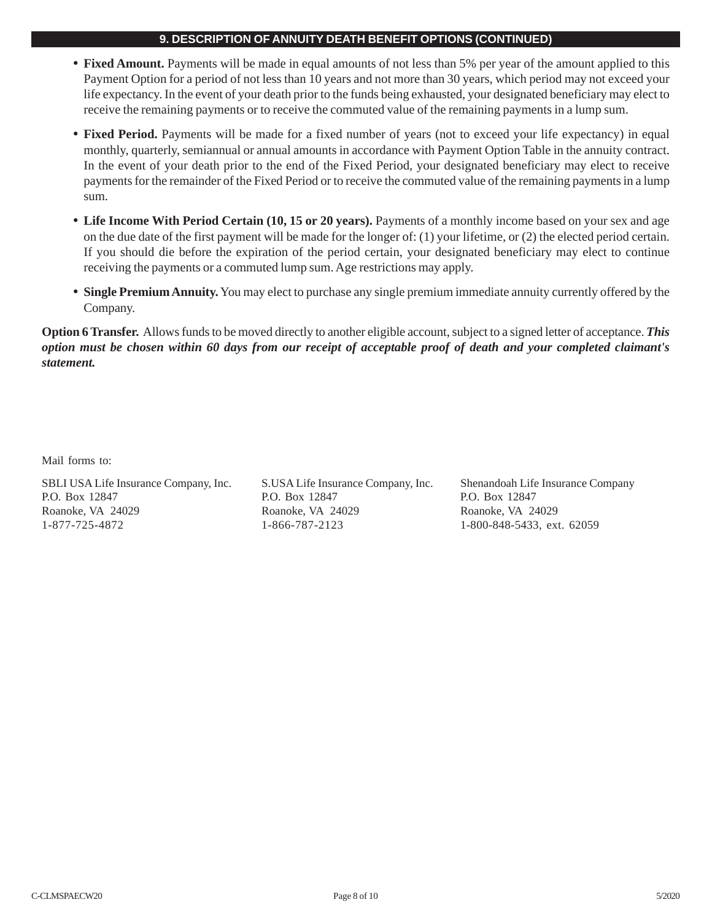## **9. DESCRIPTION OF ANNUITY DEATH BENEFIT OPTIONS (CONTINUED)**

- **• Fixed Amount.** Payments will be made in equal amounts of not less than 5% per year of the amount applied to this Payment Option for a period of not less than 10 years and not more than 30 years, which period may not exceed your life expectancy. In the event of your death prior to the funds being exhausted, your designated beneficiary may elect to receive the remaining payments or to receive the commuted value of the remaining payments in a lump sum.
- **• Fixed Period.** Payments will be made for a fixed number of years (not to exceed your life expectancy) in equal monthly, quarterly, semiannual or annual amounts in accordance with Payment Option Table in the annuity contract. In the event of your death prior to the end of the Fixed Period, your designated beneficiary may elect to receive payments for the remainder of the Fixed Period or to receive the commuted value of the remaining payments in a lump sum.
- **• Life Income With Period Certain (10, 15 or 20 years).** Payments of a monthly income based on your sex and age on the due date of the first payment will be made for the longer of: (1) your lifetime, or (2) the elected period certain. If you should die before the expiration of the period certain, your designated beneficiary may elect to continue receiving the payments or a commuted lump sum. Age restrictions may apply.
- **• Single Premium Annuity.** You may elect to purchase any single premium immediate annuity currently offered by the Company.

**Option 6 Transfer.** Allows funds to be moved directly to another eligible account, subject to a signed letter of acceptance. *This option must be chosen within 60 days from our receipt of acceptable proof of death and your completed claimant's statement.*

Mail forms to:

SBLI USA Life Insurance Company, Inc. S.USA Life Insurance Company, Inc. Shenandoah Life Insurance Company P.O. Box 12847 P.O. Box 12847 P.O. Box 12847 Roanoke, VA 24029 Roanoke, VA 24029 Roanoke, VA 24029 1-877-725-4872 1-866-787-2123 1-800-848-5433, ext. 62059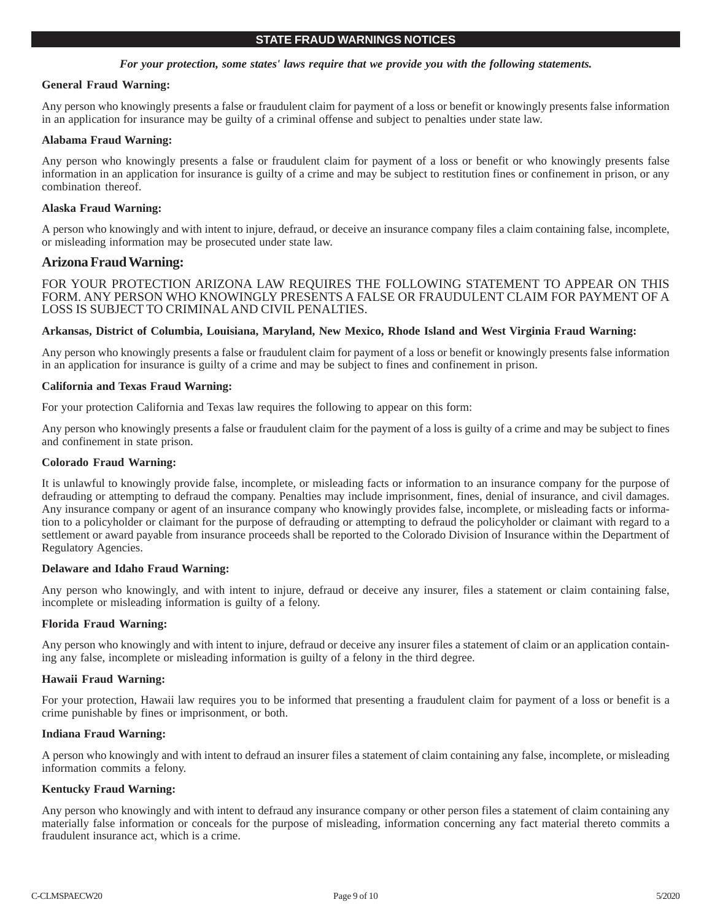## *For your protection, some states' laws require that we provide you with the following statements.*

### **General Fraud Warning:**

Any person who knowingly presents a false or fraudulent claim for payment of a loss or benefit or knowingly presents false information in an application for insurance may be guilty of a criminal offense and subject to penalties under state law.

### **Alabama Fraud Warning:**

Any person who knowingly presents a false or fraudulent claim for payment of a loss or benefit or who knowingly presents false information in an application for insurance is guilty of a crime and may be subject to restitution fines or confinement in prison, or any combination thereof.

## **Alaska Fraud Warning:**

A person who knowingly and with intent to injure, defraud, or deceive an insurance company files a claim containing false, incomplete, or misleading information may be prosecuted under state law.

## **Arizona Fraud Warning:**

FOR YOUR PROTECTION ARIZONA LAW REQUIRES THE FOLLOWING STATEMENT TO APPEAR ON THIS FORM. ANY PERSON WHO KNOWINGLY PRESENTS A FALSE OR FRAUDULENT CLAIM FOR PAYMENT OF A LOSS IS SUBJECT TO CRIMINAL AND CIVIL PENALTIES.

## **Arkansas, District of Columbia, Louisiana, Maryland, New Mexico, Rhode Island and West Virginia Fraud Warning:**

Any person who knowingly presents a false or fraudulent claim for payment of a loss or benefit or knowingly presents false information in an application for insurance is guilty of a crime and may be subject to fines and confinement in prison.

### **California and Texas Fraud Warning:**

For your protection California and Texas law requires the following to appear on this form:

Any person who knowingly presents a false or fraudulent claim for the payment of a loss is guilty of a crime and may be subject to fines and confinement in state prison.

### **Colorado Fraud Warning:**

It is unlawful to knowingly provide false, incomplete, or misleading facts or information to an insurance company for the purpose of defrauding or attempting to defraud the company. Penalties may include imprisonment, fines, denial of insurance, and civil damages. Any insurance company or agent of an insurance company who knowingly provides false, incomplete, or misleading facts or information to a policyholder or claimant for the purpose of defrauding or attempting to defraud the policyholder or claimant with regard to a settlement or award payable from insurance proceeds shall be reported to the Colorado Division of Insurance within the Department of Regulatory Agencies.

### **Delaware and Idaho Fraud Warning:**

Any person who knowingly, and with intent to injure, defraud or deceive any insurer, files a statement or claim containing false, incomplete or misleading information is guilty of a felony.

### **Florida Fraud Warning:**

Any person who knowingly and with intent to injure, defraud or deceive any insurer files a statement of claim or an application containing any false, incomplete or misleading information is guilty of a felony in the third degree.

### **Hawaii Fraud Warning:**

For your protection, Hawaii law requires you to be informed that presenting a fraudulent claim for payment of a loss or benefit is a crime punishable by fines or imprisonment, or both.

### **Indiana Fraud Warning:**

A person who knowingly and with intent to defraud an insurer files a statement of claim containing any false, incomplete, or misleading information commits a felony.

## **Kentucky Fraud Warning:**

Any person who knowingly and with intent to defraud any insurance company or other person files a statement of claim containing any materially false information or conceals for the purpose of misleading, information concerning any fact material thereto commits a fraudulent insurance act, which is a crime.